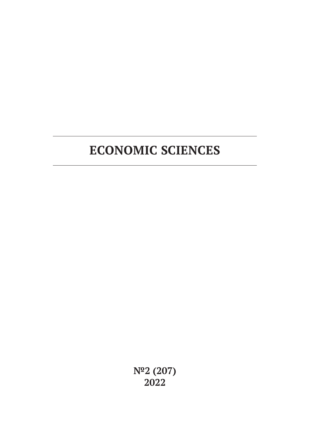# **ECONOMIC SCIENCES**

**№2 (207) 2022**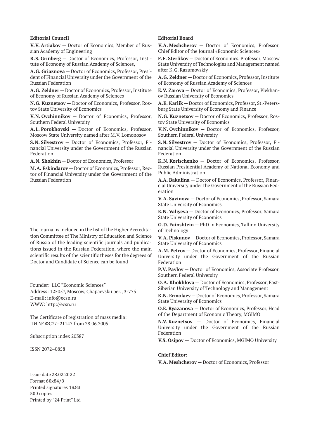#### **Editorial Council**

**V.V. Artiakov** — Doctor of Economics, Member of Russian Academy of Engineering

**R.S. Grinberg** — Doctor of Economics, Professor, Institute of Economy of Russian Academy of Sciences,

**A.G. Griaznova** — Doctor of Economics, Professor, President of Financial University under the Government of the Russian Federation

**A.G. Zeldner** — Doctor of Economics, Professor, Institute of Economy of Russian Academy of Sciences

**N.G. Kuznetsov** — Doctor of Economics, Professor, Rostov State University of Economics

**V.N. Ovchinnikov** — Doctor of Economics, Professor, Southern Federal University

**A.L. Porokhovski** — Doctor of Economics, Professor, Moscow State University named after M.V. Lomonosov

**S.N. Silvestrov** — Doctor of Economics, Professor, Financial University under the Government of the Russian Federation

**A.N. Shokhin** — Doctor of Economics, Professor

**M.A. Eskindarov** — Doctor of Economics, Professor, Rector of Financial University under the Government of the Russian Federation

The journal is included in the list of the Higher Accreditation Committee of The Ministry of Education and Science of Russia of the leading scientific journals and publications issued in the Russian Federation, where the main scientific results of the scientific theses for the degrees of Doctor and Candidate of Science can be found

Founder: LLC "Economic Sciences" Address: 125057, Moscow, Chapaevskii per., 3-775 E-mail: info@ecsn.ru WWW: http://ecsn.ru

The Certificate of registration of mass media: ПИ № ФС77–21147 from 28.06.2005

Subscription index 20387

ISSN 2072–0858

Issue date 28.02.2022 Format 60х84/8 Printed signatures 18.83 500 copies Printed by "24 Print" Ltd

#### **Editorial Board**

**V.A. Meshcherov** — Doctor of Economics, Professor, Chief Editor of the Journal «Economic Sciences»

**F.F. Sterlikov** — Doctor of Economics, Professor, Moscow State University of Technologies and Management named after K.G. Razumovskiy

**A.G. Zeldner** — Doctor of Economics, Professor, Institute of Economy of Russian Academy of Sciences

**E.V. Zarova** — Doctor of Economics, Professor, Plekhanov Russian University of Economics

**A.E. Karlik** — Doctor of Economics, Professor, St.-Petersburg State University of Economy and Finance

**N.G. Kuznetsov** — Doctor of Economics, Professor, Rostov State University of Economics

**V.N. Ovchinnikov** — Doctor of Economics, Professor, Southern Federal University

**S.N. Silvestrov** — Doctor of Economics, Professor, Financial University under the Government of the Russian Federation

**K.N. Korischenko** — Doctor of Economics, Professor, Russian Presidential Academy of National Economy and Public Administration

**A.A. Bakulina** — Doctor of Economics, Professor, Financial University under the Government of the Russian Federation

**V.A. Savinova** — Doctor of Economics, Professor, Samara State University of Economics

**E.N. Valiyeva** — Doctor of Economics, Professor, Samara State University of Economics

**G.D. Fainshtein** — PhD in Economics, Tallinn University of Technology

**V.A. Piskunov** — Doctor of Economics, Professor, Samara State University of Economics

**A.M. Petrov** — Doctor of Economics, Professor, Financial University under the Government of the Russian Federation

**P.V. Pavlov** — Doctor of Economics, Associate Professor, Southern Federal University

**O.A. Khokhlova** — Doctor of Economics, Professor, East-Siberian University of Technology and Management

**K.N. Ermolaev** — Doctor of Economics, Professor, Samara State University of Economics

**O.E. Ryazanova** — Doctor of Economics, Professor, Head of the Department of Economic Theory, MGIMO

**N.V. Kuznetsov** — Doctor of Economics, Financial University under the Government of the Russian Federation

**V.S. Osipov** — Doctor of Economics, MGIMO University

#### **Chief Editor:**

**V.A. Meshcherov** — Doctor of Economics, Professor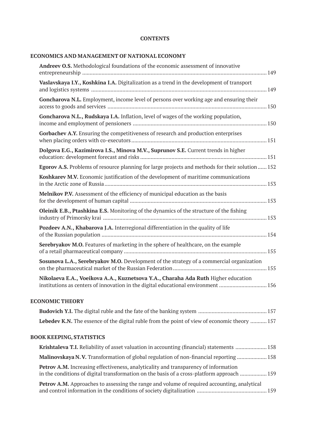### **CONTENTS**

### **ECONOMICS AND MANAGEMENT OF NATIONAL ECONOMY**

| <b>Andreev O.S.</b> Methodological foundations of the economic assessment of innovative                                                                               |  |
|-----------------------------------------------------------------------------------------------------------------------------------------------------------------------|--|
| Vaslavskaya I.Y., Koshkina I.A. Digitalization as a trend in the development of transport                                                                             |  |
| Goncharova N.L. Employment, income level of persons over working age and ensuring their                                                                               |  |
| Goncharova N.L., Rudskaya I.A. Inflation, level of wages of the working population,                                                                                   |  |
| Gorbachev A.Y. Ensuring the competitiveness of research and production enterprises                                                                                    |  |
| Dolgova E.G., Kazimirova I.S., Minova M.V., Suprunov S.E. Current trends in higher                                                                                    |  |
| Egorov A.S. Problems of resource planning for large projects and methods for their solution  152                                                                      |  |
| Koshkarev M.V. Economic justification of the development of maritime communications                                                                                   |  |
| Melnikov P.V. Assessment of the efficiency of municipal education as the basis                                                                                        |  |
| Oleinik E.B., Ptashkina E.S. Monitoring of the dynamics of the structure of the fishing                                                                               |  |
| Pozdeev A.N., Khabarova J.A. Interregional differentiation in the quality of life                                                                                     |  |
| Serebryakov M.O. Features of marketing in the sphere of healthcare, on the example                                                                                    |  |
| Sosunova L.A., Serebryakov M.O. Development of the strategy of a commercial organization                                                                              |  |
| Nikolaeva E.A., Voeikova A.A., Kuznetsova Y.A., Charaha Ada Ruth Higher education<br>institutions as centers of innovation in the digital educational environment 156 |  |
| <b>ECONOMIC THEORY</b>                                                                                                                                                |  |
|                                                                                                                                                                       |  |
| Lebedev K.N. The essence of the digital ruble from the point of view of economic theory  157                                                                          |  |
| <b>BOOK KEEPING, STATISTICS</b>                                                                                                                                       |  |
| Krishtaleva T.I. Reliability of asset valuation in accounting (financial) statements  158                                                                             |  |
| Malinovskaya N.V. Transformation of global regulation of non-financial reporting 158                                                                                  |  |

| <b>Petrov A.M.</b> Increasing effectiveness, analyticality and transparency of information         |  |  |  |  |  |  |  |  |  |
|----------------------------------------------------------------------------------------------------|--|--|--|--|--|--|--|--|--|
| in the conditions of digital transformation on the basis of a cross-platform approach  159         |  |  |  |  |  |  |  |  |  |
| <b>Petrov A.M.</b> Approaches to assessing the range and volume of required accounting, analytical |  |  |  |  |  |  |  |  |  |

and control information in the conditions of society digitalization ............................................... 159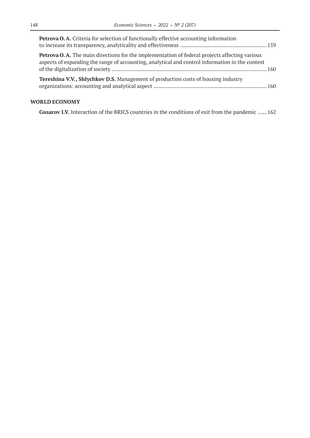| <b>Petrova O.A.</b> Criteria for selection of functionally effective accounting information                                                                                                             |  |
|---------------------------------------------------------------------------------------------------------------------------------------------------------------------------------------------------------|--|
| <b>Petrova O.A.</b> The main directions for the implementation of federal projects affecting various<br>aspects of expanding the range of accounting, analytical and control information in the context |  |
| <b>Tereshina V.V., Shlychkov D.S.</b> Management of production costs of housing industry                                                                                                                |  |

### **WORLD ECONOMY**

**Gusarov I.V.** Interaction of the BRICS countries in the conditions of exit from the pandemic ...... 162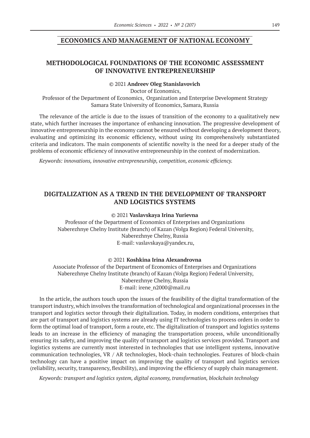### **ECONOMICS AND MANAGEMENT OF NATIONAL ECONOMY**

### **METHODOLOGICAL FOUNDATIONS OF THE ECONOMIC ASSESSMENT OF INNOVATIVE ENTREPRENEURSHIP**

#### © 2021 **Andreev Oleg Stanislavovich**

Doctor of Economics, Professor of the Department of Economics, Organization and Enterprise Development Strategy Samara State University of Economics, Samara, Russia

The relevance of the article is due to the issues of transition of the economy to a qualitatively new state, which further increases the importance of enhancing innovation. The progressive development of innovative entrepreneurship in the economy cannot be ensured without developing a development theory, evaluating and optimizing its economic efficiency, without using its comprehensively substantiated criteria and indicators. The main components of scientific novelty is the need for a deeper study of the problems of economic efficiency of innovative entrepreneurship in the context of modernization.

*Keywords: innovations, innovative entrepreneurship, competition, economic efficiency.*

# **DIGITALIZATION AS A TREND IN THE DEVELOPMENT OF TRANSPORT AND LOGISTICS SYSTEMS**

#### © 2021 **Vaslavskaya Irina Yurievna**

Professor of the Department of Economics of Enterprises and Organizations Naberezhnye Chelny Institute (branch) of Kazan (Volga Region) Federal University, Naberezhnye Chelny, Russia E-mail: vaslavskaya@yandex.ru,

© 2021 **Koshkina Irina Alexandrovna**

Associate Professor of the Department of Economics of Enterprises and Organizations Naberezhnye Chelny Institute (branch) of Kazan (Volga Region) Federal University, Naberezhnye Chelny, Russia E-mail: irene\_n2000@mail.ru

In the article, the authors touch upon the issues of the feasibility of the digital transformation of the transport industry, which involves the transformation of technological and organizational processes in the transport and logistics sector through their digitalization. Today, in modern conditions, enterprises that are part of transport and logistics systems are already using IT technologies to process orders in order to form the optimal load of transport, form a route, etc. The digitalization of transport and logistics systems leads to an increase in the efficiency of managing the transportation process, while unconditionally ensuring its safety, and improving the quality of transport and logistics services provided. Transport and logistics systems are currently most interested in technologies that use intelligent systems, innovative communication technologies, VR / AR technologies, block-chain technologies. Features of block-chain technology can have a positive impact on improving the quality of transport and logistics services (reliability, security, transparency, flexibility), and improving the efficiency of supply chain management.

*Keywords: transport and logistics system, digital economy, transformation, blockchain technology*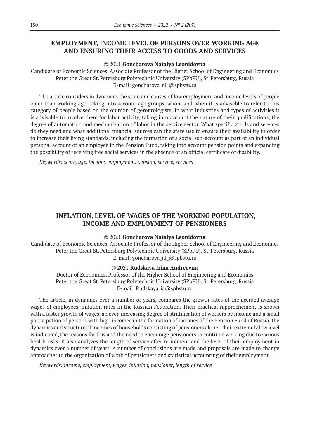# **EMPLOYMENT, INCOME LEVEL OF PERSONS OVER WORKING AGE AND ENSURING THEIR ACCESS TO GOODS AND SERVICES**

#### © 2021 **Goncharova Natalya Leonidovna**

Candidate of Economic Sciences, Associate Professor of the Higher School of Engineering and Economics Peter the Great St. Petersburg Polytechnic University (SPbPU), St. Petersburg, Russia E-mail: goncharova\_nl\_@spbstu.ru

The article considers in dynamics the state and causes of low employment and income levels of people older than working age, taking into account age groups, whom and when it is advisable to refer to this category of people based on the opinion of gerontologists. In what industries and types of activities it is advisable to involve them for labor activity, taking into account the nature of their qualifications, the degree of automation and mechanization of labor in the service sector. What specific goods and services do they need and what additional financial sources can the state use to ensure their availability in order to increase their living standards, including the formation of a social sub-account as part of an individual personal account of an employee in the Pension Fund, taking into account pension points and expanding the possibility of receiving free social services in the absence of an official certificate of disability.

*Keywords: score, age, income, employment, pension, service, services*

# **INFLATION, LEVEL OF WAGES OF THE WORKING POPULATION, INCOME AND EMPLOYMENT OF PENSIONERS**

#### © 2021 **Goncharova Natalya Leonidovna**

Candidate of Economic Sciences, Associate Professor of the Higher School of Engineering and Economics Peter the Great St. Petersburg Polytechnic University (SPbPU), St. Petersburg, Russia E-mail: goncharova\_nl\_@spbstu.ru

#### © 2021 **Rudskaya Irina Andreevna**

Doctor of Economics, Professor of the Higher School of Engineering and Economics Peter the Great St. Petersburg Polytechnic University (SPbPU), St. Petersburg, Russia E-mail: Rudskaya\_ia@spbstu.ru

The article, in dynamics over a number of years, compares the growth rates of the accrued average wages of employees, inflation rates in the Russian Federation. Their practical rapprochement is shown with a faster growth of wages, an ever-increasing degree of stratification of workers by income and a small participation of persons with high incomes in the formation of incomes of the Pension Fund of Russia, the dynamics and structure of incomes of households consisting of pensioners alone. Their extremely low level is indicated, the reasons for this and the need to encourage pensioners to continue working due to various health risks. It also analyzes the length of service after retirement and the level of their employment in dynamics over a number of years. A number of conclusions are made and proposals are made to change approaches to the organization of work of pensioners and statistical accounting of their employment.

*Keywords: income, employment, wages, inflation, pensioner, length of service*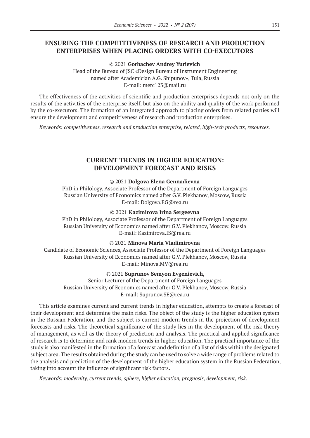# **ENSURING THE COMPETITIVENESS OF RESEARCH AND PRODUCTION ENTERPRISES WHEN PLACING ORDERS WITH CO-EXECUTORS**

© 2021 **Gorbachev Andrey Yurievich**

Head of the Bureau of JSC «Design Bureau of Instrument Engineering named after Academician A.G. Shipunov», Tula, Russia E-mail: merc123@mail.ru

The effectiveness of the activities of scientific and production enterprises depends not only on the results of the activities of the enterprise itself, but also on the ability and quality of the work performed by the co-executors. The formation of an integrated approach to placing orders from related parties will ensure the development and competitiveness of research and production enterprises.

*Keywords: competitiveness, research and production enterprise, related, high-tech products, resources.*

# **CURRENT TRENDS IN HIGHER EDUCATION: DEVELOPMENT FORECAST AND RISKS**

### © 2021 **Dolgova Elena Gennadievna**

PhD in Philology, Associate Professor of the Department of Foreign Languages Russian University of Economics named after G.V. Plekhanov, Moscow, Russia E-mail: Dolgova.EG@rea.ru

#### © 2021 **Kazimirova Irina Sergeevna**

PhD in Philology, Associate Professor of the Department of Foreign Languages Russian University of Economics named after G.V. Plekhanov, Moscow, Russia E-mail: Kazimirova.IS@rea.ru

### © 2021 **Minova Maria Vladimirovna**

Candidate of Economic Sciences, Associate Professor of the Department of Foreign Languages Russian University of Economics named after G.V. Plekhanov, Moscow, Russia E-mail: Minova.MV@rea.ru

#### © 2021 **Suprunov Semyon Evgenievich,**

Senior Lecturer of the Department of Foreign Languages Russian University of Economics named after G.V. Plekhanov, Moscow, Russia E-mail: Suprunov.SE@rea.ru

This article examines current and current trends in higher education, attempts to create a forecast of their development and determine the main risks. The object of the study is the higher education system in the Russian Federation, and the subject is current modern trends in the projection of development forecasts and risks. The theoretical significance of the study lies in the development of the risk theory of management, as well as the theory of prediction and analysis. The practical and applied significance of research is to determine and rank modern trends in higher education. The practical importance of the study is also manifested in the formation of a forecast and definition of a list of risks within the designated subject area. The results obtained during the study can be used to solve a wide range of problems related to the analysis and prediction of the development of the higher education system in the Russian Federation, taking into account the influence of significant risk factors.

*Keywords: modernity, current trends, sphere, higher education, prognosis, development, risk.*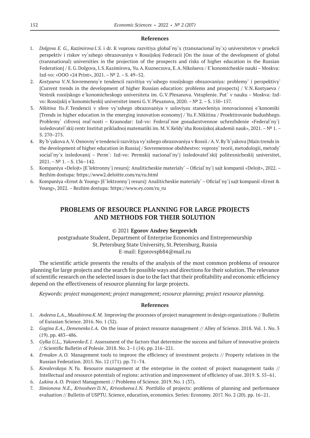#### **References**

- 1. *Dolgova E. G., Kazimirova I.S.* i dr. K voprosu razvitiya global`ny`x (transnacional`ny`x) universitetov v proekcii perspektiv i riskov vy`sshego obrazovaniya v Rossijskoj Federacii [On the issue of the development of global (transnational) universities in the projection of the prospects and risks of higher education in the Russian Federation] / E.G.Dolgova, I.S.Kazimirova, Yu.A.Kuzneczova, E.A.Nikolaeva / E`konomicheskie nauki – Moskva: Izd-vo: «OOO «24 Print», 2021. –№ 2. – S. 49–52.
- 2. *Kostyaeva V.N.*Sovremenny`e tendencii razvitiya vy`sshego rossijskogo obrazovaniya: problemy` i perspektivy` [Current trends in the development of higher Russian education: problems and prospects] / V.N.Kostyaeva / Vestnik rossijskogo e`konomicheskogo universiteta im. G.V.Plexanova. Vstuplenie. Put` v nauku – Moskva: Izdvo: Rossijskij e`konomicheskij universitet imeni G.V. Plexanova, 2020. – № 2. – S. 150–157.
- 3. *Nikitina Yu.F.*Tendencii v sfere vy`sshego obrazovaniya v usloviyax stanovleniya innovacionnoj e`konomiki [Trends in higher education in the emerging innovation economy] / Yu.F.Nikitina / Proektirovanie budushhego. Problemy` cifrovoj real`nosti – Krasnodar: Izd-vo: Federal`noe gosudarstvennoe uchrezhdenie «Federal`ny`j issledovatel`skij centr Institut prikladnoj matematiki im. M.V.Keldy`sha Rossijskoj akademii nauk», 2021. –№ 1. – S. 270–275.
- 4. Ry`b`yakova A.V.Osnovny`e tendencii razvitiya vy`sshego obrazovaniya v Rossii / A.V.Ry`b`yakova [Main trends in the development of higher education in Russia] / Sovremennoe obshhestvo: voprosy` teorii, metodologii, metody` social`ny`x issledovanij – Perm`: Izd-vo: Permskij nacional`ny`j issledovatel`skij politexnicheskij universitet,  $2021. - N^2$  1. – S. 136–142.
- 5. Kompaniya «Delojt» [E`lektronny`j resurs]: Analiticheskie materialy` Oficial`ny`j sajt kompanii «Delojt», 2022. Rezhim dostupa: https://www2.deloitte.com/ru/ru.html
- 6. Kompaniya «Ernst & Young» [E`lektronny`j resurs]: Analiticheskie materialy` Oficial`ny`j sajt kompanii «Ernst & Young», 2022. – Rezhim dostupa: https://www.ey.com/ru\_ru

# **PROBLEMS OF RESOURCE PLANNING FOR LARGE PROJECTS AND METHODS FOR THEIR SOLUTION**

### © 2021 **Egorov Andrey Sergeevich**

postgraduate Student, Department of Enterprise Economics and Entrepreneurship St.Petersburg State University, St.Petersburg, Russia E-mail: Egorovspb84@mail.ru

The scientific article presents the results of the analysis of the most common problems of resource planning for large projects and the search for possible ways and directions for their solution. The relevance of scientific research on the selected issues is due to the fact that their profitability and economic efficiency depend on the effectiveness of resource planning for large projects.

*Keywords: project management; project management; resource planning; project resource planning.*

- 1. *Avdeeva L.A., Musabirova K.M.* Improving the processes of project management in design organizations // Bulletin of Eurasian Science. 2016. No. 1 (32).
- 2. *Gogina E.A., Demenenko I.A.* On the issue of project resource management // Alley of Science. 2018. Vol. 1. No. 3 (19). pp. 483–486.
- 3. *Gylka U.L., Yakovenko E.I.* Assessment of the factors that determine the success and failure of innovative projects // Scientific Bulletin of Polesie. 2018. No. 2–1 (14). pp. 216–221.
- 4. *Ermakov A.O.* Management tools to improve the efficiency of investment projects // Property relations in the Russian Federation. 2015. No. 12 (171). pp. 71–74.
- 5. *Kovalevskaya N.Yu.* Resource management at the enterprise in the context of project management tasks // Intellectual and resource potentials of regions: activation and improvement of efficiency of use. 2019. S. 55–61.
- 6. *Lukina A.O.* Project Management // Problems of Science. 2019. No. 1 (37).
- 7. *Simionova N.E., Krivosheev D.N., Krivosheeva I.N.* Portfolio of projects: problems of planning and performance evaluation // Bulletin of USPTU. Science, education, economics. Series: Economy. 2017. No. 2 (20). pp. 16–21.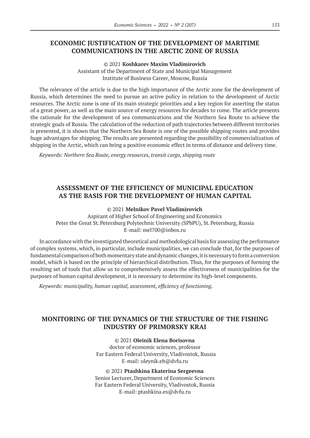### **ECONOMIC JUSTIFICATION OF THE DEVELOPMENT OF MARITIME COMMUNICATIONS IN THE ARCTIC ZONE OF RUSSIA**

© 2021 **Koshkarev Maxim Vladimirovich**

Assistant of the Department of State and Municipal Management Institute of Business Career, Moscow, Russia

The relevance of the article is due to the high importance of the Arctic zone for the development of Russia, which determines the need to pursue an active policy in relation to the development of Arctic resources. The Arctic zone is one of its main strategic priorities and a key region for asserting the status of a great power, as well as the main source of energy resources for decades to come. The article presents the rationale for the development of sea communications and the Northern Sea Route to achieve the strategic goals of Russia. The calculation of the reduction of path trajectories between different territories is presented, it is shown that the Northern Sea Route is one of the possible shipping routes and provides huge advantages for shipping. The results are presented regarding the possibility of commercialization of shipping in the Arctic, which can bring a positive economic effect in terms of distance and delivery time.

*Keywords: Northern Sea Route, energy resources, transit cargo, shipping route*

# **ASSESSMENT OF THE EFFICIENCY OF MUNICIPAL EDUCATION AS THE BASIS FOR THE DEVELOPMENT OF HUMAN CAPITAL**

© 2021 **Melnikov Pavel Vladimirovich**

Aspirant of Higher School of Engineering and Economics Peter the Great St. Petersburg Polytechnic University (SPbPU), St. Petersburg, Russia E-mail: mel700@inbox.ru

In accordance with the investigated theoretical and methodological basis for assessing the performance of complex systems, which, in particular, include municipalities, we can conclude that, for the purposes of fundamental comparison of both momentary state and dynamic changes, it is necessary to form a conversion model, which is based on the principle of hierarchical distribution. Thus, for the purposes of forming the resulting set of tools that allow us to comprehensively assess the effectiveness of municipalities for the purposes of human capital development, it is necessary to determine its high-level components.

*Keywords: municipality, human capital, assessment, efficiency of functioning.*

# **MONITORING OF THE DYNAMICS OF THE STRUCTURE OF THE FISHING INDUSTRY OF PRIMORSKY KRAI**

© 2021 **Oleinik Elena Borisovna**

doctor of economic sciences, professor Far Eastern Federal University, Vladivostok, Russia E-mail: oleynik.eb@dvfu.ru

© 2021 **Ptashkina Ekaterina Sergeevna** Senior Lecturer, Department of Economic Sciences Far Eastern Federal University, Vladivostok, Russia E-mail: ptashkina.es@dvfu.ru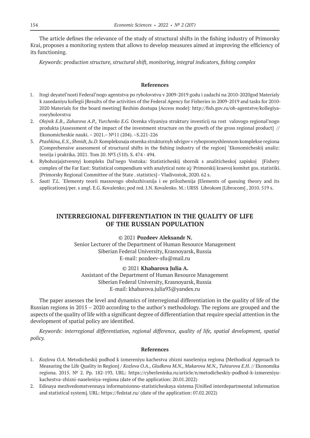The article defines the relevance of the study of structural shifts in the fishing industry of Primorsky Krai, proposes a monitoring system that allows to develop measures aimed at improving the efficiency of its functioning.

*Keywords: production structure, structural shift, monitoring, integral indicators, fishing complex*

### **References**

- 1. Itogi deyatel'nosti Federal'nogo agentstva po rybolovstvu v 2009-2019 godu i zadachi na 2010-2020god Materialy k zasedaniyu kollegii [Results of the activities of the Federal Agency for Fisheries in 2009-2019 and tasks for 2010- 2020 Materials for the board meeting] Rezhim dostupa [Access mode]: http://fish.gov.ru/ob-agentstve/kollegiyarosrybolovstva
- 2. *Olejnik E.B., Zaharova A.P., Yurchenko E.G.* Ocenka vliyaniya struktury investicij na rost valovogo regional'nogo produkta [Assessment of the impact of the investment structure on the growth of the gross regional product] // Ekonomicheskie nauki. – 2021.– №11 (204). –S.221-226
- 3. *Ptashkina, E.S., Shmidt, Ju.D.* Kompleksnaja otsenka strukturnyh sdvigov v rybopromyshlennom komplekse regiona [Comprehensive assessment of structural shifts in the fishing industry of the region] `Ekonomicheskij analiz: teorija i praktika. 2021. Tom 20. №3 (510). S. 474 - 494.
- 4. Rybohozjajstvennyj kompleks Dal'nego Vostoka: Statisticheskij sbornik s analiticheskoj zapiskoj [Fishery complex of the Far East: Statistical compendium with analytical note a]/ Primorskij kraevoj komitet gos. statistiki. [Primorsky Regional Committee of the State . statistics]– Vladivostok, 2020. 62 s.
- 5. *Saati T.L.* `Elementy teorii massovogo obsluzhivanija i ee prilozhenija [Elements of queuing theory and its applications]/per. s angl. E.G. Kovalenko; pod red. I.N. Kovalenko. M.: URSS Librokom [Librocom] , 2010. 519 s.

# **INTERREGIONAL DIFFERENTIATION IN THE QUALITY OF LIFE OF THE RUSSIAN POPULATION**

### © 2021 **Pozdeev Aleksandr N.**

Senior Lecturer of the Department of Human Resource Management Siberian Federal University, Krasnoyarsk, Russia E-mail: pozdeev-sfu@mail.ru

#### © 2021 **Khabarova Julia A.**

Assistant of the Department of Human Resource Management Siberian Federal University, Krasnoyarsk, Russia E-mail: khabarova.julia93@yandex.ru

The paper assesses the level and dynamics of interregional differentiation in the quality of life of the Russian regions in 2015 – 2020 according to the author's methodology. The regions are grouped and the aspects of the quality of life with a significant degree of differentiation that require special attention in the development of spatial policy are identified.

*Keywords: interregional differentiation, regional difference, quality of life, spatial development, spatial policy.*

- 1. *Kozlova O.A.* Metodicheskij podhod k izmereniyu kachestva zhizni naseleniya regiona [Methodical Approach to Measuring the Life Quality in Region] / *Kozlova O.A., Gladkova M.N., Makarova M.N., Tuhtarova E.H.* // Ekonomika regiona. 2015. № 2. Pp. 182-193. URL: https://cyberleninka.ru/article/n/metodicheskiy-podhod-k-izmereniyukachestva-zhizni-naseleniya-regiona (date of the application: 20.01.2022)
- 2. Edinaya mezhvedomstvennaya informatsionno-statisticheskaya sistema [Unified interdepartmental information and statistical system]. URL: https://fedstat.ru/ (date of the application: 07.02.2022)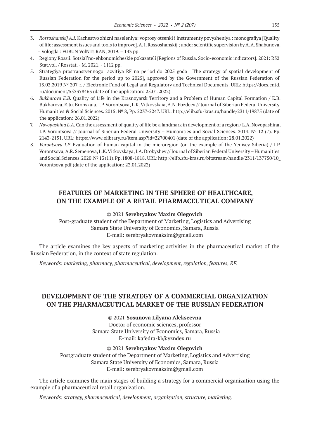- 3. *Rossoshanskij A.I.* Kachestvo zhizni naseleniya: voprosy otsenki i instrumenty povysheniya : monografiya [Quality of life: assessment issues and tools to improve]. A. I. Rossoshanskij ; under scientific supervision by A. A. Shabunova. – Vologda : FGBUN VolNTs RAN, 2019. – 143 pp.
- 4. Regiony Rossii. Sotsial'no-ehkonomicheskie pokazateli [Regions of Russia. Socio-economic indicators]. 2021: R32 Stat.vol. / Rosstat. - М. 2021. - 1112 pp.
- 5. Strategiya prostranstvennogo razvitiya RF na period do 2025 goda [The strategy of spatial development of Russian Federation for the period up to 2025], approved by the Government of the Russian Federation of 13.02.2019 № 207-r. / Electronic Fund of Legal and Regulatory and Technical Documents. URL: https://docs.cntd. ru/document/552378463 (date of the application: 25.01.2022)
- 6. *Bukharova E.B.* Quality of Life in the Krasnoyarsk Territory and a Problem of Human Capital Formation / E.B. Bukharova, E.Ju. Bronskaia, I.P. Vorontsova, L.K. Vitkovskaia, A.N. Pozdeev // Journal of Siberian Federal University. Humanities & Social Sciences. 2015. № 8, Pp. 2237-2247. URL: http://elib.sfu-kras.ru/handle/2311/19875 (date of the application: 26.01.2022)
- 7. *Novopashina L.A.* Can the assessment of quality of life be a landmark in development of a region / L.A. Novopashina, I.P. Vorontsova // Journal of Siberian Federal University – Humanities and Social Sciences. 2014. № 12 (7). Pp. 2143-2151. URL: https://www.elibrary.ru/item.asp?id=22700401 (date of the application: 28.01.2022)
- 8. *Vorontsova I.P.* Evaluation of human capital in the microregion (on the example of the Yenisey Siberia) / I.P. Vorontsova, A.R. Semenova, L.K. Vitkovskaya, I.A. Drobyshev // Journal of Siberian Federal University – Humanities and Social Sciences. 2020. № 13 (11). Pp. 1808-1818. URL: http://elib.sfu-kras.ru/bitstream/handle/2311/137750/10\_ Vorontsova.pdf (date of the application: 23.01.2022)

# **FEATURES OF MARKETING IN THE SPHERE OF HEALTHCARE, ON THE EXAMPLE OF A RETAIL PHARMACEUTICAL COMPANY**

#### © 2021 **Serebryakov Maxim Olegovich**

Post-graduate student of the Department of Marketing, Logistics and Advertising Samara State University of Economics, Samara, Russia E-mail: serebryakovmaksim@gmail.com

The article examines the key aspects of marketing activities in the pharmaceutical market of the Russian Federation, in the context of state regulation.

*Keywords: marketing, pharmacy, pharmaceutical, development, regulation, features, RF.*

# **DEVELOPMENT OF THE STRATEGY OF A COMMERCIAL ORGANIZATION ON THE PHARMACEUTICAL MARKET OF THE RUSSIAN FEDERATION**

© 2021 **Sosunova Lilyana Alekseevna**

Doctor of economic sciences, professor Samara State University of Economics, Samara, Russia E-mail: kafedra-kl@yzndex.ru

#### © 2021 **Serebryakov Maxim Olegovich**

Postgraduate student of the Department of Marketing, Logistics and Advertising Samara State University of Economics, Samara, Russia E-mail: serebryakovmaksim@gmail.com

The article examines the main stages of building a strategy for a commercial organization using the example of a pharmaceutical retail organization.

*Keywords: strategy, pharmaceutical, development, organization, structure, marketing.*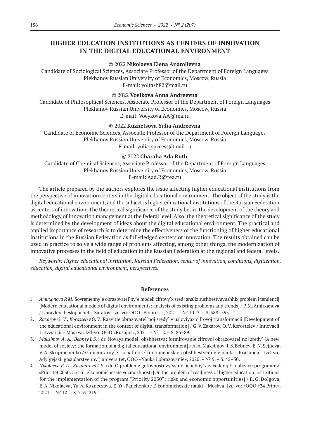# **HIGHER EDUCATION INSTITUTIONS AS CENTERS OF INNOVATION IN THE DIGITAL EDUCATIONAL ENVIRONMENT**

#### © 2022 **Nikolaeva Elena Anatolievna**

Candidate of Sociological Sciences, Associate Professor of the Department of Foreign Languages Plekhanov Russian University of Economics, Moscow, Russia E-mail: yoltash82@mail.ru

### © 2022 **Voeikova Anna Andreevna**

Candidate of Philosophical Sciences, Associate Professor of the Department of Foreign Languages Plekhanov Russian University of Economics, Moscow, Russia E-mail: Voeykova.AA@rea.ru

### © 2022 **Kuznetsova Yulia Andreevna**

Candidate of Economic Sciences, Associate Professor of the Department of Foreign Languages Plekhanov Russian University of Economics, Moscow, Russia E-mail: yulia\_success@mail.ru

### © 2022 **Charaha Ada Ruth**

Candidate of Chemical Sciences, Associate Professor of the Department of Foreign Languages Plekhanov Russian University of Economics, Moscow, Russia E-mail: Aad.R@rea.ru

The article prepared by the authors explores the issue affecting higher educational institutions from the perspective of innovation centers in the digital educational environment. The object of the study is the digital educational environment, and the subject is higher educational institutions of the Russian Federation as centers of innovation. The theoretical significance of the study lies in the development of the theory and methodology of innovation management at the federal level. Also, the theoretical significance of the study is determined by the development of ideas about the digital educational environment. The practical and applied importance of research is to determine the effectiveness of the functioning of higher educational institutions in the Russian Federation as full-fledged centers of innovation. The results obtained can be used in practice to solve a wide range of problems affecting, among other things, the modernization of innovative processes in the field of education in the Russian Federation at the regional and federal levels.

*Keywords: Higher educational institution, Russian Federation, center of innovation, conditions, digitization, education, digital educational environment, perspectives.*

- 1. *Amirxanova P.M.* Sovremenny`e obrazovatel`ny`e modeli cifrovy`x sred: analiz sushhestvuyushhix problem i tendencij [Modern educational models of digital environments: analysis of existing problems and trends] / P. M.Amirxanova / Upravlencheskij uchet – Saratov: Izd-vo: OOO «Finpress», 2021. –№ 10–3. – S. 588–595.
- 2. *Zaxarov G. V., Korostelev O.V.* Razvitie obrazovatel`noj sredy` v usloviyax cifrovoj transformacii [Development of the educational environment in the context of digital transformation] / G.V.Zaxarov, O.V.Korostelev / Innovacii i investicii – Moskva: Izd-vo: OOO «Rusajns», 2021. –№ 12. – S. 86–89.
- 3. *Maksimov A. A., Bebnev I. S.* i dr. Novaya model` obshhestva: formirovanie cifrovoj obrazovatel`noj sredy` [A new model of society: the formation of a digital educational environment] / A.A.Maksimov, I.S.Bebnev, E.N.Sejfieva, V.A. Skripnichenko / Gumanitarny`e, social`no-e`konomicheskie i obshhestvenny`e nauki – Krasnodar: Izd-vo: Ady`gejskij gosudarstvenny`j universitet, OOO «Nauka i obrazovanie», 2020. –№ 9. – S. 45–50.
- 4. *Nikolaeva E. A., Kazimirova I.S.* i dr. O probleme gotovnosti vy`sshix uchebny`x zavedenij k realizacii programmy` «Prioritet 2030»: riski i e`konomicheskie vozmozhnosti [On the problem of readiness of higher education institutions for the implementation of the program "Priority 2030": risks and economic opportunities] / E. G. Dolgova, E.A.Nikolaeva, Yu.A.Kuzneczova, E.Yu.Panchenko / E`konomicheskie nauki – Moskva: Izd-vo: «OOO «24 Print»,  $2021. - N<sup>o</sup> 12. - S. 216 - 219.$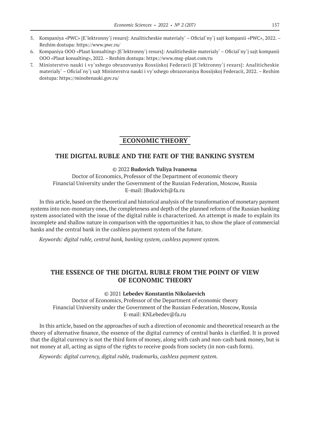- 5. Kompaniya «PWC» [E`lektronny`j resurs]: Analiticheskie materialy` Oficial`ny`j sajt kompanii «PWC», 2022. Rezhim dostupa: https://www.pwc.ru/
- 6. Kompaniya OOO «Plaut konsalting» [E`lektronny`j resurs]: Analiticheskie materialy` Oficial`ny`j sajt kompanii OOO «Plaut konsalting», 2022. – Rezhim dostupa: https://www.msg-plaut.com/ru
- 7. Ministerstvo nauki i vy`sshego obrazovaniya Rossijskoj Federacii [E`lektronny`j resurs]: Analiticheskie materialy` – Oficial`ny`j sajt Ministerstva nauki i vy`sshego obrazovaniya Rossijskoj Federacii, 2022. – Rezhim dostupa: https://minobrnauki.gov.ru/

### **ECONOMIC THEORY**

### **THE DIGITAL RUBLE AND THE FATE OF THE BANKING SYSTEM**

### © 2022 **Budovich Yuliya Ivanovna**

Doctor of Economics, Professor of the Department of economic theory Financial University under the Government of the Russian Federation, Moscow, Russia E-mail: JBudovich@fa.ru

In this article, based on the theoretical and historical analysis of the transformation of monetary payment systems into non-monetary ones, the completeness and depth of the planned reform of the Russian banking system associated with the issue of the digital ruble is characterized. An attempt is made to explain its incomplete and shallow nature in comparison with the opportunities it has, to show the place of commercial banks and the central bank in the cashless payment system of the future.

*Keywords: digital ruble, central bank, banking system, cashless payment system.*

# **THE ESSENCE OF THE DIGITAL RUBLE FROM THE POINT OF VIEW OF ECONOMIC THEORY**

© 2021 **Lebedev Konstantin Nikolaevich**

Doctor of Economics, Professor of the Department of economic theory Financial University under the Government of the Russian Federation, Moscow, Russia E-mail: KNLebedev@fa.ru

In this article, based on the approaches of such a direction of economic and theoretical research as the theory of alternative finance, the essence of the digital currency of central banks is clarified. It is proved that the digital currency is not the third form of money, along with cash and non-cash bank money, but is not money at all, acting as signs of the rights to receive goods from society (in non-cash form).

*Keywords: digital currency, digital ruble, trademarks, cashless payment system.*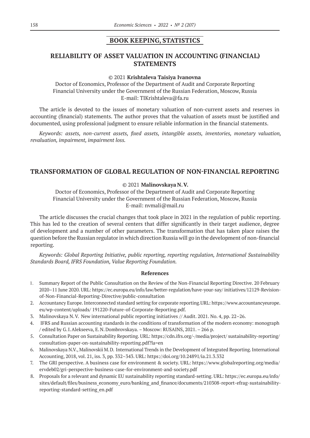### **BOOK KEEPING, STATISTICS**

# **RELIABILITY OF ASSET VALUATION IN ACCOUNTING (FINANCIAL) STATEMENTS**

#### © 2021 **Krishtaleva Taisiya Ivanovna**

Doctor of Economics, Professor of the Department of Audit and Corporate Reporting Financial University under the Government of the Russian Federation, Moscow, Russia E-mail: TIKrishtaleva@fa.ru

The article is devoted to the issues of monetary valuation of non-current assets and reserves in accounting (financial) statements. The author proves that the valuation of assets must be justified and documented, using professional judgment to ensure reliable information in the financial statements.

*Keywords: аssets, non-current assets, fixed assets, intangible assets, inventories, monetary valuation, revaluation, impairment, impairment loss.*

### **TRANSFORMATION OF GLOBAL REGULATION OF NON-FINANCIAL REPORTING**

### © 2021 **Malinovskaya N.V.**

Doctor of Economics, Professor of the Department of Audit and Corporate Reporting Financial University under the Government of the Russian Federation, Moscow, Russia E-mail: nvmali@mail.ru

The article discusses the crucial changes that took place in 2021 in the regulation of public reporting. This has led to the creation of several centers that differ significantly in their target audience, degree of development and a number of other parameters. The transformation that has taken place raises the question before the Russian regulator in which direction Russia will go in the development of non-financial reporting.

*Keywords: Global Reporting Initiative, public reporting, reporting regulation, International Sustainability Standards Board, IFRS Foundation, Value Reporting Foundation.*

- 1. Summary Report of the Public Consultation on the Review of the Non-Financial Reporting Directive. 20 February 2020–11 June 2020. URL: https://ec.europa.eu/info/law/better-regulation/have-your-say/ initiatives/12129-Revisionof-Non-Financial-Reporting-Directive/public-consultation
- 2. Accountancy Europe. Interconnected standard setting for corporate reporting.URL: https://www.accountancyeurope. eu/wp-content/uploads/ 191220-Future-of-Corporate-Reporting.pdf.
- 3. Malinovskaya N.V. New international public reporting initiatives // Audit. 2021. No. 4, pp. 22–26.
- 4. IFRS and Russian accounting standards in the conditions of transformation of the modern economy: monograph / edited by G.I.Alekseeva, E.N.Dombrovskaya. – Moscow: RUSAINS, 2021. – 266 p.
- 5. Consultation Paper on Sustainability Reporting. URL: https://cdn.ifrs.org/-/media/project/ sustainability-reporting/ consultation-paper-on-sustainability-reporting.pdf?la=en
- 6. Malinovskaya N.V., Malinovskii M.D. International Trends in the Development of Integrated Reporting. International Accounting, 2018, vol. 21, iss. 3, pp. 332–343. URL: https://doi.org/10.24891/ia.21.3.332
- 7. The GRI perspective. A business case for environment & society. URL: https://www.globalreporting.org/media/ ervdeb02/gri-perspective-business-case-for-environment-and-society.pdf
- 8. Proposals for a relevant and dynamic EU sustainability reporting standard-setting. URL: https://ec.europa.eu/info/ sites/default/files/business\_economy\_euro/banking\_and\_finance/documents/210308‑report-efrag-sustainabilityreporting-standard-setting\_en.pdf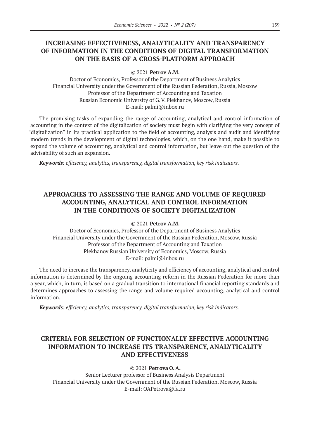# **INCREASING EFFECTIVENESS, ANALYTICALITY AND TRANSPARENCY OF INFORMATION IN THE CONDITIONS OF DIGITAL TRANSFORMATION ON THE BASIS OF A CROSS-PLATFORM APPROACH**

© 2021 **Petrov A.M.**

Doctor of Economics, Professor of the Department of Business Analytics Financial University under the Government of the Russian Federation, Russia, Moscow Professor of the Department of Accounting and Taxation Russian Economic University of G.V.Plekhanov, Moscow, Russia E-mail: palmi@inbox.ru

The promising tasks of expanding the range of accounting, analytical and control information of accounting in the context of the digitalization of society must begin with clarifying the very concept of "digitalization" in its practical application to the field of accounting, analysis and audit and identifying modern trends in the development of digital technologies, which, on the one hand, make it possible to expand the volume of accounting, analytical and control information, but leave out the question of the advisability of such an expansion.

*Keywords: efficiency, analytics, transparency, digital transformation, key risk indicators.*

# **APPROACHES TO ASSESSING THE RANGE AND VOLUME OF REQUIRED ACCOUNTING, ANALYTICAL AND CONTROL INFORMATION IN THE CONDITIONS OF SOCIETY DIGITALIZATION**

© 2021 **Petrov A.M.**

Doctor of Economics, Professor of the Department of Business Analytics Financial University under the Government of the Russian Federation, Moscow, Russia Professor of the Department of Accounting and Taxation Plekhanov Russian University of Economics, Moscow, Russia E-mail: palmi@inbox.ru

The need to increase the transparency, analyticity and efficiency of accounting, analytical and control information is determined by the ongoing accounting reform in the Russian Federation for more than a year, which, in turn, is based on a gradual transition to international financial reporting standards and determines approaches to assessing the range and volume required accounting, analytical and control information.

*Keywords: efficiency, analytics, transparency, digital transformation, key risk indicators.*

# **CRITERIA FOR SELECTION OF FUNCTIONALLY EFFECTIVE ACCOUNTING INFORMATION TO INCREASE ITS TRANSPARENCY, ANALYTICALITY AND EFFECTIVENESS**

© 2021 **Petrova O.A.**

Senior Lecturer professor of Business Analysis Department Financial University under the Government of the Russian Federation, Moscow, Russia E-mail: OAPetrova@fa.ru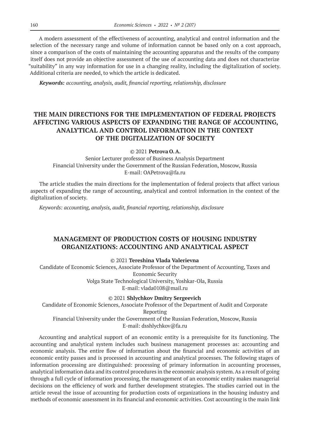A modern assessment of the effectiveness of accounting, analytical and control information and the selection of the necessary range and volume of information cannot be based only on a cost approach, since a comparison of the costs of maintaining the accounting apparatus and the results of the company itself does not provide an objective assessment of the use of accounting data and does not characterize "suitability" in any way information for use in a changing reality, including the digitalization of society. Additional criteria are needed, to which the article is dedicated.

*Keywords: accounting, analysis, audit, financial reporting, relationship, disclosure*

# **THE MAIN DIRECTIONS FOR THE IMPLEMENTATION OF FEDERAL PROJECTS AFFECTING VARIOUS ASPECTS OF EXPANDING THE RANGE OF ACCOUNTING, ANALYTICAL AND CONTROL INFORMATION IN THE CONTEXT OF THE DIGITALIZATION OF SOCIETY**

© 2021 **Petrova O.A.**

Senior Lecturer professor of Business Analysis Department Financial University under the Government of the Russian Federation, Moscow, Russia E-mail: OAPetrova@fa.ru

The article studies the main directions for the implementation of federal projects that affect various aspects of expanding the range of accounting, analytical and control information in the context of the digitalization of society.

*Keywords: accounting, analysis, audit, financial reporting, relationship, disclosure*

# **MANAGEMENT OF PRODUCTION COSTS OF HOUSING INDUSTRY ORGANIZATIONS: ACCOUNTING AND ANALYTICAL ASPECT**

© 2021 **Tereshina Vlada Valerievna**

Candidate of Economic Sciences, Associate Professor of the Department of Accounting, Taxes and Economic Security Volga State Technological University, Yoshkar-Ola, Russia E-mail: vlada0108@mail.ru

© 2021 **Shlychkov Dmitry Sergeevich**

Candidate of Economic Sciences, Associate Professor of the Department of Audit and Corporate Reporting Financial University under the Government of the Russian Federation, Moscow, Russia E-mail: dsshlychkov@fa.ru

Accounting and analytical support of an economic entity is a prerequisite for its functioning. The accounting and analytical system includes such business management processes as: accounting and economic analysis. The entire flow of information about the financial and economic activities of an economic entity passes and is processed in accounting and analytical processes. The following stages of information processing are distinguished: processing of primary information in accounting processes, analytical information data and its control procedures in the economic analysis system. As a result of going through a full cycle of information processing, the management of an economic entity makes managerial decisions on the efficiency of work and further development strategies. The studies carried out in the article reveal the issue of accounting for production costs of organizations in the housing industry and methods of economic assessment in its financial and economic activities. Cost accounting is the main link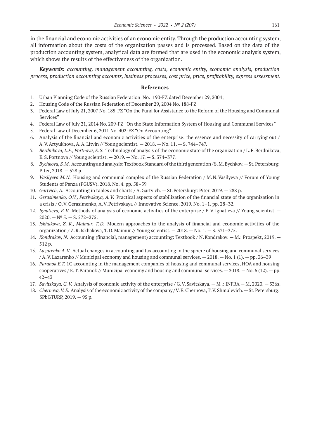in the financial and economic activities of an economic entity. Through the production accounting system, all information about the costs of the organization passes and is processed. Based on the data of the production accounting system, analytical data are formed that are used in the economic analysis system, which shows the results of the effectiveness of the organization.

*Keywords: accounting, management accounting, costs, economic entity, economic analysis, production process, production accounting accounts, business processes, cost price, price, profitability, express assessment.*

- 1. Urban Planning Code of the Russian Federation No.190-FZ dated December 29, 2004;
- 2. Housing Code of the Russian Federation of December 29, 2004 No. 188-FZ
- 3. Federal Law of July 21, 2007 No. 185-FZ "On the Fund for Assistance to the Reform of the Housing and Communal Services"
- 4. Federal Law of July 21, 2014 No. 209-FZ "On the State Information System of Housing and Communal Services"
- 5. Federal Law of December 6, 2011 No. 402-FZ "On Accounting"
- 6. Analysis of the financial and economic activities of the enterprise: the essence and necessity of carrying out / A.V.Artyukhova, A.A.Litvin // Young scientist. — 2018. — No. 11. — S. 744–747.
- 7. *Berdnikova, L.F., Portnova, E.S.* Technology of analysis of the economic state of the organization / L.F.Berdnikova, E.S.Portnova // Young scientist. — 2019. — No. 17. — S. 374–377.
- 8. *Bychkova, S.M.* Accounting and analysis: Textbook Standard of the third generation / S.M. Bychkov. St. Petersburg: Piter, 2018. — 528 p.
- 9. *Vasilyeva M.N.* Housing and communal complex of the Russian Federation / M.N.Vasilyeva // Forum of Young Students of Penza (PGUSV). 2018. No. 4. pp. 58–59
- 10. *Gartvich, A.* Accounting in tables and charts / A.Gartvich. St.Petersburg: Piter, 2019. 288 p.
- 11. *Gerasimenko, O.V., Petrivskaya, A.V.* Practical aspects of stabilization of the financial state of the organization in a crisis / O.V.Gerasimenko, A.V.Petrivskaya // Innovative Science. 2019. No. 1–1. pp. 28–32.
- 12. *Ignatieva, E.V.* Methods of analysis of economic activities of the enterprise / E.V.Ignatieva // Young scientist.  $2020. - N^{\circ} 5. - S. 272 - 275.$
- 13. *Iskhakova, Z. R., Maimur, T.D.* Modern approaches to the analysis of financial and economic activities of the organization / Z.R.Iskhakova, T.D.Maimur // Young scientist. — 2018. — No. 1. — S. 371–375.
- 14. *Kondrakov, N.* Accounting (financial, management) accounting: Textbook / N.Kondrakov. M.: Prospekt, 2019. 512 p.
- 15. *Lazarenko A.V.* Actual changes in accounting and tax accounting in the sphere of housing and communal services / A.V.Lazarenko // Municipal economy and housing and communal services. — 2018. — No. 1 (1). — pp. 36–39
- 16. *Paranok E.T.* 1C accounting in the management companies of housing and communal services, HOA and housing cooperatives / E.T. Paranok // Municipal economy and housing and communal services.  $-2018$ .  $-$  No. 6 (12).  $-$  pp. 42–43
- 17. *Savitskaya, G.V.* Analysis of economic activity of the enterprise / G.V.Savitskaya. M .: INFRA M, 2020. 336s.
- 18. *Chernova, V.E.* Analysis of the economic activity of the company / V.E. Chernova, T.V. Shmulevich. St. Petersburg: SPbGTURP, 2019. — 95 p.